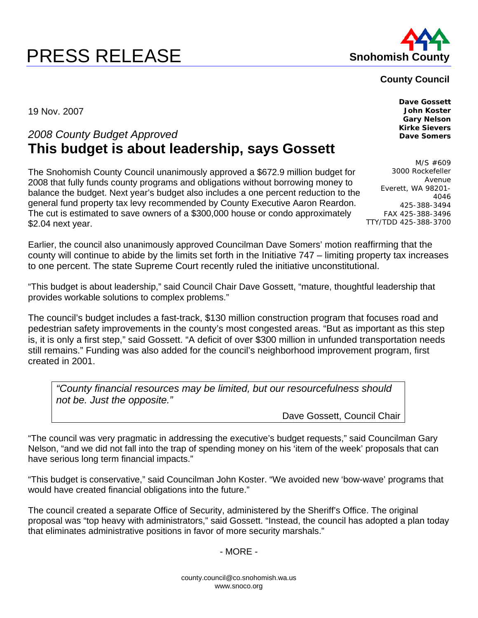## **PRESS RELEASE Shohomish County**



## **County Council**

19 Nov. 2007

## *2008 County Budget Approved*  **This budget is about leadership, says Gossett**

The Snohomish County Council unanimously approved a \$672.9 million budget for 2008 that fully funds county programs and obligations without borrowing money to balance the budget. Next year's budget also includes a one percent reduction to the general fund property tax levy recommended by County Executive Aaron Reardon. The cut is estimated to save owners of a \$300,000 house or condo approximately \$2.04 next year.

Earlier, the council also unanimously approved Councilman Dave Somers' motion reaffirming that the county will continue to abide by the limits set forth in the Initiative 747 – limiting property tax increases to one percent. The state Supreme Court recently ruled the initiative unconstitutional.

"This budget is about leadership," said Council Chair Dave Gossett, "mature, thoughtful leadership that provides workable solutions to complex problems."

The council's budget includes a fast-track, \$130 million construction program that focuses road and pedestrian safety improvements in the county's most congested areas. "But as important as this step is, it is only a first step," said Gossett. "A deficit of over \$300 million in unfunded transportation needs still remains." Funding was also added for the council's neighborhood improvement program, first created in 2001.

*"County financial resources may be limited, but our resourcefulness should not be. Just the opposite."* 

Dave Gossett, Council Chair

"The council was very pragmatic in addressing the executive's budget requests," said Councilman Gary Nelson, "and we did not fall into the trap of spending money on his 'item of the week' proposals that can have serious long term financial impacts."

"This budget is conservative," said Councilman John Koster. "We avoided new 'bow-wave' programs that would have created financial obligations into the future."

The council created a separate Office of Security, administered by the Sheriff's Office. The original proposal was "top heavy with administrators," said Gossett. "Instead, the council has adopted a plan today that eliminates administrative positions in favor of more security marshals."

## - MORE -

**Dave Gossett John Koster Gary Nelson Kirke Sievers Dave Somers** 

M/S #609 3000 Rockefeller Avenue Everett, WA 98201- 4046 425-388-3494 FAX 425-388-3496 TTY/TDD 425-388-3700